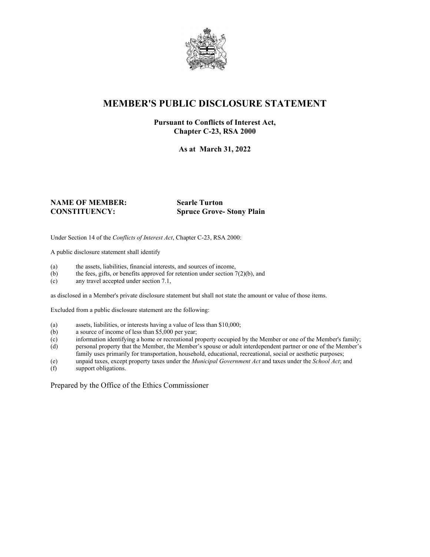

# **MEMBER'S PUBLIC DISCLOSURE STATEMENT**

#### **Pursuant to Conflicts of Interest Act, Chapter C-23, RSA 2000**

**As at March 31, 2022**

# **NAME OF MEMBER: Searle Turton**

# **CONSTITUENCY: Spruce Grove- Stony Plain**

Under Section 14 of the *Conflicts of Interest Act*, Chapter C-23, RSA 2000:

A public disclosure statement shall identify

- (a) the assets, liabilities, financial interests, and sources of income,  $(b)$  the fees, gifts, or benefits approved for retention under section 7
- the fees, gifts, or benefits approved for retention under section  $7(2)(b)$ , and
- (c) any travel accepted under section 7.1,

as disclosed in a Member's private disclosure statement but shall not state the amount or value of those items.

Excluded from a public disclosure statement are the following:

- (a) assets, liabilities, or interests having a value of less than \$10,000;<br>(b) a source of income of less than \$5,000 per year;
- a source of income of less than  $$5,000$  per year;
- (c) information identifying a home or recreational property occupied by the Member or one of the Member's family;
- (d) personal property that the Member, the Member's spouse or adult interdependent partner or one of the Member's family uses primarily for transportation, household, educational, recreational, social or aesthetic purposes;
- (e) unpaid taxes, except property taxes under the *Municipal Government Act* and taxes under the *School Act*; and
- (f) support obligations.

Prepared by the Office of the Ethics Commissioner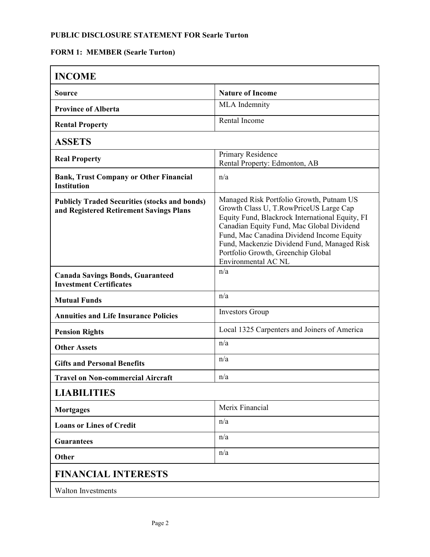# **PUBLIC DISCLOSURE STATEMENT FOR Searle Turton**

# **FORM 1: MEMBER (Searle Turton)**

| <b>INCOME</b>                                                                                   |                                                                                                                                                                                                                                                                                                                                             |  |
|-------------------------------------------------------------------------------------------------|---------------------------------------------------------------------------------------------------------------------------------------------------------------------------------------------------------------------------------------------------------------------------------------------------------------------------------------------|--|
| Source                                                                                          | <b>Nature of Income</b>                                                                                                                                                                                                                                                                                                                     |  |
| <b>Province of Alberta</b>                                                                      | MLA Indemnity                                                                                                                                                                                                                                                                                                                               |  |
| <b>Rental Property</b>                                                                          | Rental Income                                                                                                                                                                                                                                                                                                                               |  |
| <b>ASSETS</b>                                                                                   |                                                                                                                                                                                                                                                                                                                                             |  |
| <b>Real Property</b>                                                                            | Primary Residence<br>Rental Property: Edmonton, AB                                                                                                                                                                                                                                                                                          |  |
| <b>Bank, Trust Company or Other Financial</b><br><b>Institution</b>                             | n/a                                                                                                                                                                                                                                                                                                                                         |  |
| <b>Publicly Traded Securities (stocks and bonds)</b><br>and Registered Retirement Savings Plans | Managed Risk Portfolio Growth, Putnam US<br>Growth Class U, T.RowPriceUS Large Cap<br>Equity Fund, Blackrock International Equity, FI<br>Canadian Equity Fund, Mac Global Dividend<br>Fund, Mac Canadina Dividend Income Equity<br>Fund, Mackenzie Dividend Fund, Managed Risk<br>Portfolio Growth, Greenchip Global<br>Environmental AC NL |  |
| <b>Canada Savings Bonds, Guaranteed</b><br><b>Investment Certificates</b>                       | n/a                                                                                                                                                                                                                                                                                                                                         |  |
| <b>Mutual Funds</b>                                                                             | n/a                                                                                                                                                                                                                                                                                                                                         |  |
| <b>Annuities and Life Insurance Policies</b>                                                    | <b>Investors Group</b>                                                                                                                                                                                                                                                                                                                      |  |
| <b>Pension Rights</b>                                                                           | Local 1325 Carpenters and Joiners of America                                                                                                                                                                                                                                                                                                |  |
| <b>Other Assets</b>                                                                             | n/a                                                                                                                                                                                                                                                                                                                                         |  |
| <b>Gifts and Personal Benefits</b>                                                              | n/a                                                                                                                                                                                                                                                                                                                                         |  |
| <b>Travel on Non-commercial Aircraft</b>                                                        | n/a                                                                                                                                                                                                                                                                                                                                         |  |
| <b>LIABILITIES</b>                                                                              |                                                                                                                                                                                                                                                                                                                                             |  |
| <b>Mortgages</b>                                                                                | Merix Financial                                                                                                                                                                                                                                                                                                                             |  |
| <b>Loans or Lines of Credit</b>                                                                 | n/a                                                                                                                                                                                                                                                                                                                                         |  |
| <b>Guarantees</b>                                                                               | n/a                                                                                                                                                                                                                                                                                                                                         |  |
| Other                                                                                           | n/a                                                                                                                                                                                                                                                                                                                                         |  |
| <b>FINANCIAL INTERESTS</b>                                                                      |                                                                                                                                                                                                                                                                                                                                             |  |
| <b>Walton Investments</b>                                                                       |                                                                                                                                                                                                                                                                                                                                             |  |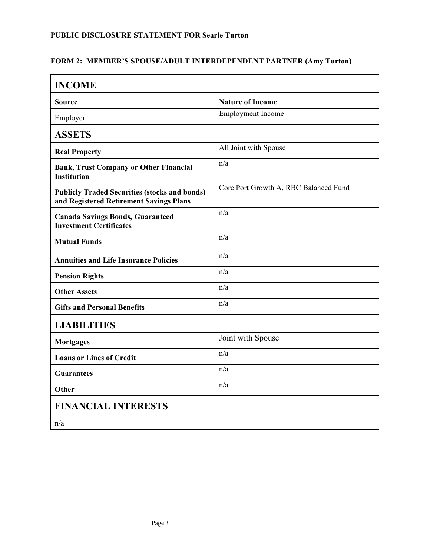#### **PUBLIC DISCLOSURE STATEMENT FOR Searle Turton**

### **FORM 2: MEMBER'S SPOUSE/ADULT INTERDEPENDENT PARTNER (Amy Turton)**

| <b>INCOME</b>                                                                                   |                                       |  |
|-------------------------------------------------------------------------------------------------|---------------------------------------|--|
| Source                                                                                          | <b>Nature of Income</b>               |  |
| Employer                                                                                        | <b>Employment Income</b>              |  |
| <b>ASSETS</b>                                                                                   |                                       |  |
| <b>Real Property</b>                                                                            | All Joint with Spouse                 |  |
| <b>Bank, Trust Company or Other Financial</b><br><b>Institution</b>                             | n/a                                   |  |
| <b>Publicly Traded Securities (stocks and bonds)</b><br>and Registered Retirement Savings Plans | Core Port Growth A, RBC Balanced Fund |  |
| <b>Canada Savings Bonds, Guaranteed</b><br><b>Investment Certificates</b>                       | n/a                                   |  |
| <b>Mutual Funds</b>                                                                             | n/a                                   |  |
| <b>Annuities and Life Insurance Policies</b>                                                    | n/a                                   |  |
| <b>Pension Rights</b>                                                                           | n/a                                   |  |
| <b>Other Assets</b>                                                                             | n/a                                   |  |
| <b>Gifts and Personal Benefits</b>                                                              | n/a                                   |  |
| <b>LIABILITIES</b>                                                                              |                                       |  |
| <b>Mortgages</b>                                                                                | Joint with Spouse                     |  |
| <b>Loans or Lines of Credit</b>                                                                 | n/a                                   |  |
| <b>Guarantees</b>                                                                               | n/a                                   |  |
| Other                                                                                           | n/a                                   |  |
| <b>FINANCIAL INTERESTS</b>                                                                      |                                       |  |
| n/a                                                                                             |                                       |  |